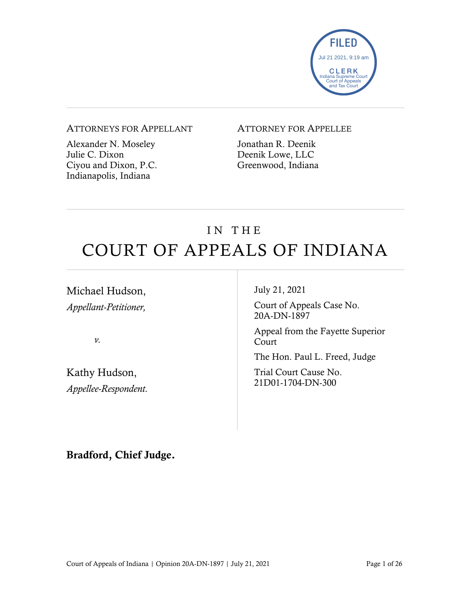

#### ATTORNEYS FOR APPELLANT

Alexander N. Moseley Julie C. Dixon Ciyou and Dixon, P.C. Indianapolis, Indiana

### ATTORNEY FOR APPELLEE

Jonathan R. Deenik Deenik Lowe, LLC Greenwood, Indiana

# IN THE COURT OF APPEALS OF INDIANA

Michael Hudson, *Appellant-Petitioner,*

*v.*

Kathy Hudson, *Appellee-Respondent.* July 21, 2021

Court of Appeals Case No. 20A-DN-1897

Appeal from the Fayette Superior Court

The Hon. Paul L. Freed, Judge

Trial Court Cause No. 21D01-1704-DN-300

Bradford, Chief Judge.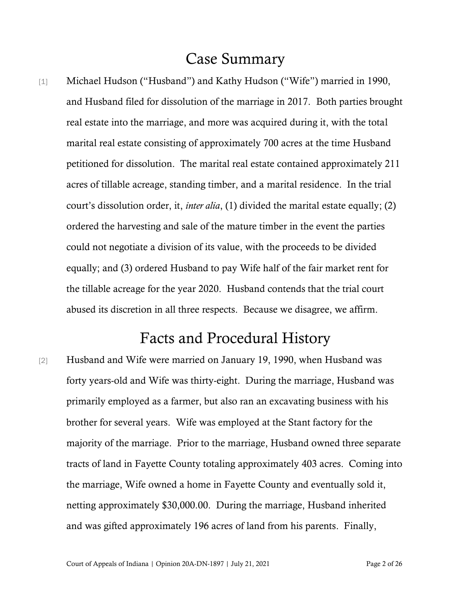# Case Summary

[1] Michael Hudson ("Husband") and Kathy Hudson ("Wife") married in 1990, and Husband filed for dissolution of the marriage in 2017. Both parties brought real estate into the marriage, and more was acquired during it, with the total marital real estate consisting of approximately 700 acres at the time Husband petitioned for dissolution. The marital real estate contained approximately 211 acres of tillable acreage, standing timber, and a marital residence. In the trial court's dissolution order, it, *inter alia*, (1) divided the marital estate equally; (2) ordered the harvesting and sale of the mature timber in the event the parties could not negotiate a division of its value, with the proceeds to be divided equally; and (3) ordered Husband to pay Wife half of the fair market rent for the tillable acreage for the year 2020. Husband contends that the trial court abused its discretion in all three respects. Because we disagree, we affirm.

# Facts and Procedural History

[2] Husband and Wife were married on January 19, 1990, when Husband was forty years-old and Wife was thirty-eight. During the marriage, Husband was primarily employed as a farmer, but also ran an excavating business with his brother for several years. Wife was employed at the Stant factory for the majority of the marriage. Prior to the marriage, Husband owned three separate tracts of land in Fayette County totaling approximately 403 acres. Coming into the marriage, Wife owned a home in Fayette County and eventually sold it, netting approximately \$30,000.00. During the marriage, Husband inherited and was gifted approximately 196 acres of land from his parents. Finally,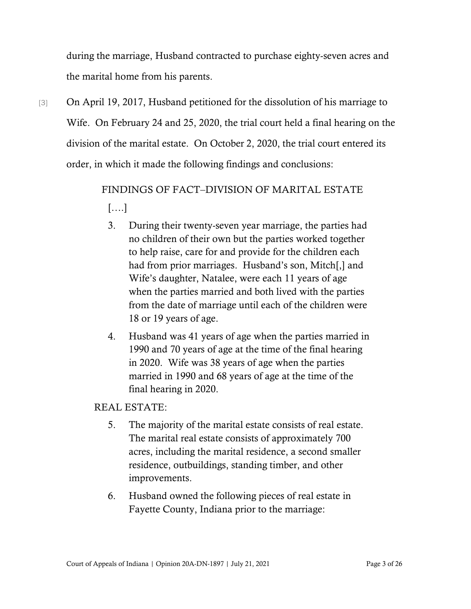during the marriage, Husband contracted to purchase eighty-seven acres and the marital home from his parents.

[3] On April 19, 2017, Husband petitioned for the dissolution of his marriage to Wife. On February 24 and 25, 2020, the trial court held a final hearing on the division of the marital estate. On October 2, 2020, the trial court entered its order, in which it made the following findings and conclusions:

# FINDINGS OF FACT–DIVISION OF MARITAL ESTATE [….]

- 3. During their twenty-seven year marriage, the parties had no children of their own but the parties worked together to help raise, care for and provide for the children each had from prior marriages. Husband's son, Mitch[,] and Wife's daughter, Natalee, were each 11 years of age when the parties married and both lived with the parties from the date of marriage until each of the children were 18 or 19 years of age.
- 4. Husband was 41 years of age when the parties married in 1990 and 70 years of age at the time of the final hearing in 2020. Wife was 38 years of age when the parties married in 1990 and 68 years of age at the time of the final hearing in 2020.

### REAL ESTATE:

- 5. The majority of the marital estate consists of real estate. The marital real estate consists of approximately 700 acres, including the marital residence, a second smaller residence, outbuildings, standing timber, and other improvements.
- 6. Husband owned the following pieces of real estate in Fayette County, Indiana prior to the marriage: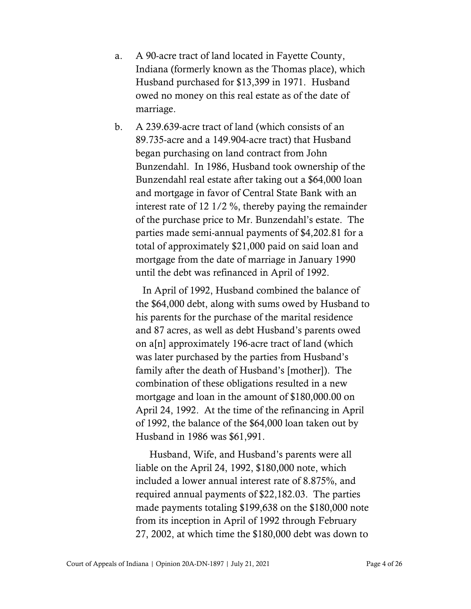- a. A 90-acre tract of land located in Fayette County, Indiana (formerly known as the Thomas place), which Husband purchased for \$13,399 in 1971. Husband owed no money on this real estate as of the date of marriage.
- b. A 239.639-acre tract of land (which consists of an 89.735-acre and a 149.904-acre tract) that Husband began purchasing on land contract from John Bunzendahl. In 1986, Husband took ownership of the Bunzendahl real estate after taking out a \$64,000 loan and mortgage in favor of Central State Bank with an interest rate of 12 1/2 %, thereby paying the remainder of the purchase price to Mr. Bunzendahl's estate. The parties made semi-annual payments of \$4,202.81 for a total of approximately \$21,000 paid on said loan and mortgage from the date of marriage in January 1990 until the debt was refinanced in April of 1992.

In April of 1992, Husband combined the balance of the \$64,000 debt, along with sums owed by Husband to his parents for the purchase of the marital residence and 87 acres, as well as debt Husband's parents owed on a[n] approximately 196-acre tract of land (which was later purchased by the parties from Husband's family after the death of Husband's [mother]). The combination of these obligations resulted in a new mortgage and loan in the amount of \$180,000.00 on April 24, 1992. At the time of the refinancing in April of 1992, the balance of the \$64,000 loan taken out by Husband in 1986 was \$61,991.

Husband, Wife, and Husband's parents were all liable on the April 24, 1992, \$180,000 note, which included a lower annual interest rate of 8.875%, and required annual payments of \$22,182.03. The parties made payments totaling \$199,638 on the \$180,000 note from its inception in April of 1992 through February 27, 2002, at which time the \$180,000 debt was down to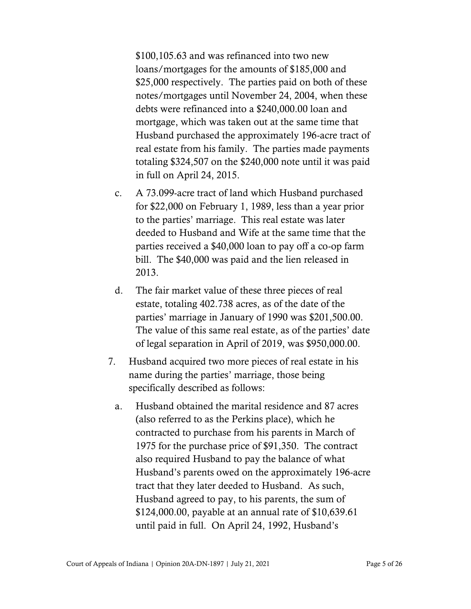\$100,105.63 and was refinanced into two new loans/mortgages for the amounts of \$185,000 and \$25,000 respectively. The parties paid on both of these notes/mortgages until November 24, 2004, when these debts were refinanced into a \$240,000.00 loan and mortgage, which was taken out at the same time that Husband purchased the approximately 196-acre tract of real estate from his family. The parties made payments totaling \$324,507 on the \$240,000 note until it was paid in full on April 24, 2015.

- c. A 73.099-acre tract of land which Husband purchased for \$22,000 on February 1, 1989, less than a year prior to the parties' marriage. This real estate was later deeded to Husband and Wife at the same time that the parties received a \$40,000 loan to pay off a co-op farm bill. The \$40,000 was paid and the lien released in 2013.
- d. The fair market value of these three pieces of real estate, totaling 402.738 acres, as of the date of the parties' marriage in January of 1990 was \$201,500.00. The value of this same real estate, as of the parties' date of legal separation in April of 2019, was \$950,000.00.
- 7. Husband acquired two more pieces of real estate in his name during the parties' marriage, those being specifically described as follows:
	- a. Husband obtained the marital residence and 87 acres (also referred to as the Perkins place), which he contracted to purchase from his parents in March of 1975 for the purchase price of \$91,350. The contract also required Husband to pay the balance of what Husband's parents owed on the approximately 196-acre tract that they later deeded to Husband. As such, Husband agreed to pay, to his parents, the sum of \$124,000.00, payable at an annual rate of \$10,639.61 until paid in full. On April 24, 1992, Husband's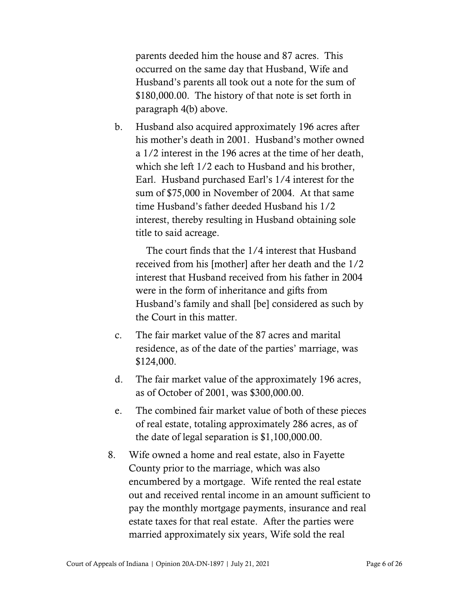parents deeded him the house and 87 acres. This occurred on the same day that Husband, Wife and Husband's parents all took out a note for the sum of \$180,000.00. The history of that note is set forth in paragraph 4(b) above.

b. Husband also acquired approximately 196 acres after his mother's death in 2001. Husband's mother owned a 1/2 interest in the 196 acres at the time of her death, which she left 1/2 each to Husband and his brother, Earl. Husband purchased Earl's 1/4 interest for the sum of \$75,000 in November of 2004. At that same time Husband's father deeded Husband his 1/2 interest, thereby resulting in Husband obtaining sole title to said acreage.

The court finds that the 1/4 interest that Husband received from his [mother] after her death and the 1/2 interest that Husband received from his father in 2004 were in the form of inheritance and gifts from Husband's family and shall [be] considered as such by the Court in this matter.

- c. The fair market value of the 87 acres and marital residence, as of the date of the parties' marriage, was \$124,000.
- d. The fair market value of the approximately 196 acres, as of October of 2001, was \$300,000.00.
- e. The combined fair market value of both of these pieces of real estate, totaling approximately 286 acres, as of the date of legal separation is \$1,100,000.00.
- 8. Wife owned a home and real estate, also in Fayette County prior to the marriage, which was also encumbered by a mortgage. Wife rented the real estate out and received rental income in an amount sufficient to pay the monthly mortgage payments, insurance and real estate taxes for that real estate. After the parties were married approximately six years, Wife sold the real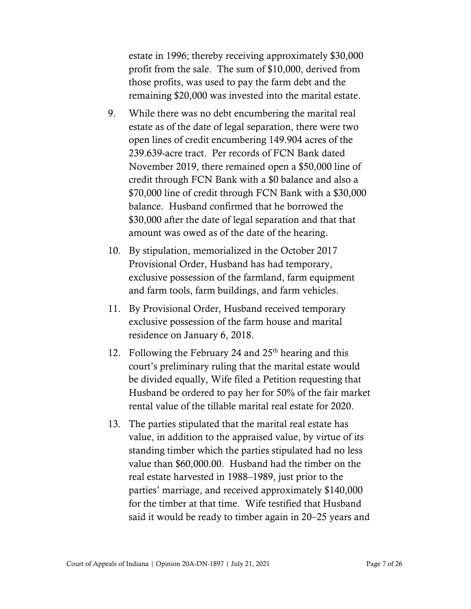estate in 1996; thereby receiving approximately \$30,000 profit from the sale. The sum of \$10,000, derived from those profits, was used to pay the farm debt and the remaining \$20,000 was invested into the marital estate.

- 9. While there was no debt encumbering the marital real estate as of the date of legal separation, there were two open lines of credit encumbering 149.904 acres of the 239.639-acre tract. Per records of FCN Bank dated November 2019, there remained open a \$50,000 line of credit through FCN Bank with a \$0 balance and also a \$70,000 line of credit through FCN Bank with a \$30,000 balance. Husband confirmed that he borrowed the \$30,000 after the date of legal separation and that that amount was owed as of the date of the hearing.
- 10. By stipulation, memorialized in the October 2017 Provisional Order, Husband has had temporary, exclusive possession of the farmland, farm equipment and farm tools, farm buildings, and farm vehicles.
- 11. By Provisional Order, Husband received temporary exclusive possession of the farm house and marital residence on January 6, 2018.
- 12. Following the February 24 and  $25<sup>th</sup>$  hearing and this court's preliminary ruling that the marital estate would be divided equally, Wife filed a Petition requesting that Husband be ordered to pay her for 50% of the fair market rental value of the tillable marital real estate for 2020.
- 13. The parties stipulated that the marital real estate has value, in addition to the appraised value, by virtue of its standing timber which the parties stipulated had no less value than \$60,000.00. Husband had the timber on the real estate harvested in 1988–1989, just prior to the parties' marriage, and received approximately \$140,000 for the timber at that time. Wife testified that Husband said it would be ready to timber again in 20–25 years and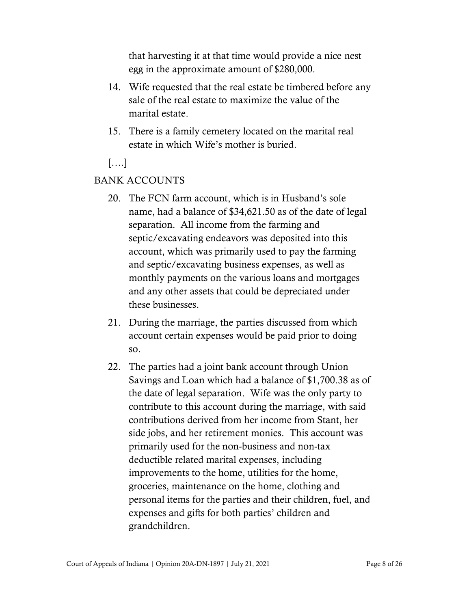that harvesting it at that time would provide a nice nest egg in the approximate amount of \$280,000.

- 14. Wife requested that the real estate be timbered before any sale of the real estate to maximize the value of the marital estate.
- 15. There is a family cemetery located on the marital real estate in which Wife's mother is buried.

[….]

### BANK ACCOUNTS

- 20. The FCN farm account, which is in Husband's sole name, had a balance of \$34,621.50 as of the date of legal separation. All income from the farming and septic/excavating endeavors was deposited into this account, which was primarily used to pay the farming and septic/excavating business expenses, as well as monthly payments on the various loans and mortgages and any other assets that could be depreciated under these businesses.
- 21. During the marriage, the parties discussed from which account certain expenses would be paid prior to doing so.
- 22. The parties had a joint bank account through Union Savings and Loan which had a balance of \$1,700.38 as of the date of legal separation. Wife was the only party to contribute to this account during the marriage, with said contributions derived from her income from Stant, her side jobs, and her retirement monies. This account was primarily used for the non-business and non-tax deductible related marital expenses, including improvements to the home, utilities for the home, groceries, maintenance on the home, clothing and personal items for the parties and their children, fuel, and expenses and gifts for both parties' children and grandchildren.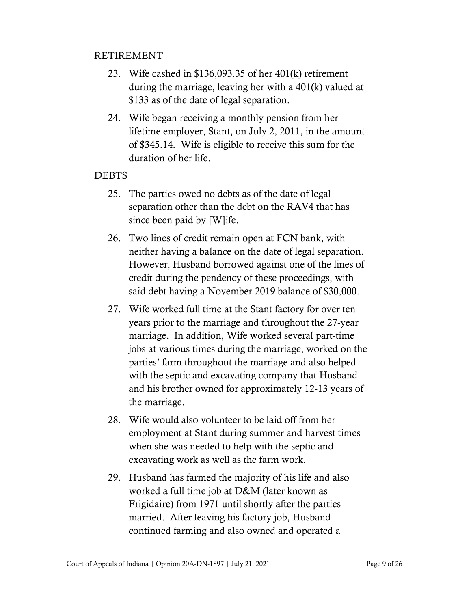### RETIREMENT

- 23. Wife cashed in \$136,093.35 of her 401(k) retirement during the marriage, leaving her with a 401(k) valued at \$133 as of the date of legal separation.
- 24. Wife began receiving a monthly pension from her lifetime employer, Stant, on July 2, 2011, in the amount of \$345.14. Wife is eligible to receive this sum for the duration of her life.

#### **DEBTS**

- 25. The parties owed no debts as of the date of legal separation other than the debt on the RAV4 that has since been paid by [W]ife.
- 26. Two lines of credit remain open at FCN bank, with neither having a balance on the date of legal separation. However, Husband borrowed against one of the lines of credit during the pendency of these proceedings, with said debt having a November 2019 balance of \$30,000.
- 27. Wife worked full time at the Stant factory for over ten years prior to the marriage and throughout the 27-year marriage. In addition, Wife worked several part-time jobs at various times during the marriage, worked on the parties' farm throughout the marriage and also helped with the septic and excavating company that Husband and his brother owned for approximately 12-13 years of the marriage.
- 28. Wife would also volunteer to be laid off from her employment at Stant during summer and harvest times when she was needed to help with the septic and excavating work as well as the farm work.
- 29. Husband has farmed the majority of his life and also worked a full time job at D&M (later known as Frigidaire) from 1971 until shortly after the parties married. After leaving his factory job, Husband continued farming and also owned and operated a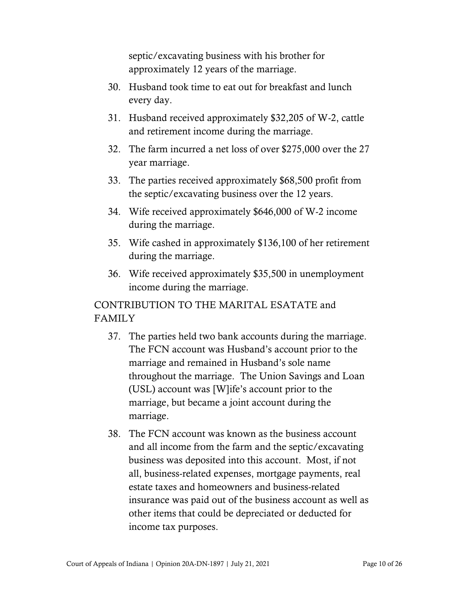septic/excavating business with his brother for approximately 12 years of the marriage.

- 30. Husband took time to eat out for breakfast and lunch every day.
- 31. Husband received approximately \$32,205 of W-2, cattle and retirement income during the marriage.
- 32. The farm incurred a net loss of over \$275,000 over the 27 year marriage.
- 33. The parties received approximately \$68,500 profit from the septic/excavating business over the 12 years.
- 34. Wife received approximately \$646,000 of W-2 income during the marriage.
- 35. Wife cashed in approximately \$136,100 of her retirement during the marriage.
- 36. Wife received approximately \$35,500 in unemployment income during the marriage.

## CONTRIBUTION TO THE MARITAL ESATATE and FAMILY

- 37. The parties held two bank accounts during the marriage. The FCN account was Husband's account prior to the marriage and remained in Husband's sole name throughout the marriage. The Union Savings and Loan (USL) account was [W]ife's account prior to the marriage, but became a joint account during the marriage.
- 38. The FCN account was known as the business account and all income from the farm and the septic/excavating business was deposited into this account. Most, if not all, business-related expenses, mortgage payments, real estate taxes and homeowners and business-related insurance was paid out of the business account as well as other items that could be depreciated or deducted for income tax purposes.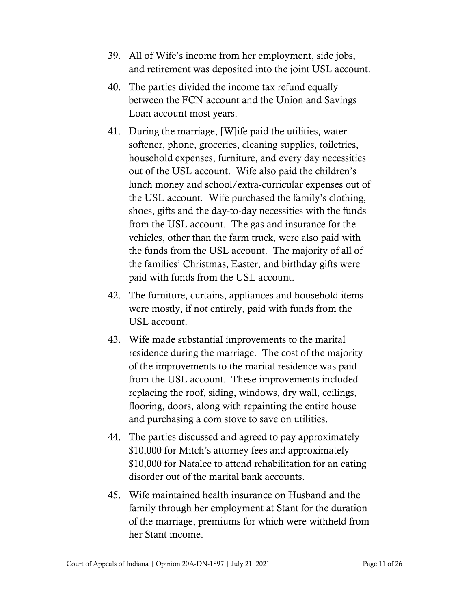- 39. All of Wife's income from her employment, side jobs, and retirement was deposited into the joint USL account.
- 40. The parties divided the income tax refund equally between the FCN account and the Union and Savings Loan account most years.
- 41. During the marriage, [W]ife paid the utilities, water softener, phone, groceries, cleaning supplies, toiletries, household expenses, furniture, and every day necessities out of the USL account. Wife also paid the children's lunch money and school/extra-curricular expenses out of the USL account. Wife purchased the family's clothing, shoes, gifts and the day-to-day necessities with the funds from the USL account. The gas and insurance for the vehicles, other than the farm truck, were also paid with the funds from the USL account. The majority of all of the families' Christmas, Easter, and birthday gifts were paid with funds from the USL account.
- 42. The furniture, curtains, appliances and household items were mostly, if not entirely, paid with funds from the USL account.
- 43. Wife made substantial improvements to the marital residence during the marriage. The cost of the majority of the improvements to the marital residence was paid from the USL account. These improvements included replacing the roof, siding, windows, dry wall, ceilings, flooring, doors, along with repainting the entire house and purchasing a com stove to save on utilities.
- 44. The parties discussed and agreed to pay approximately \$10,000 for Mitch's attorney fees and approximately \$10,000 for Natalee to attend rehabilitation for an eating disorder out of the marital bank accounts.
- 45. Wife maintained health insurance on Husband and the family through her employment at Stant for the duration of the marriage, premiums for which were withheld from her Stant income.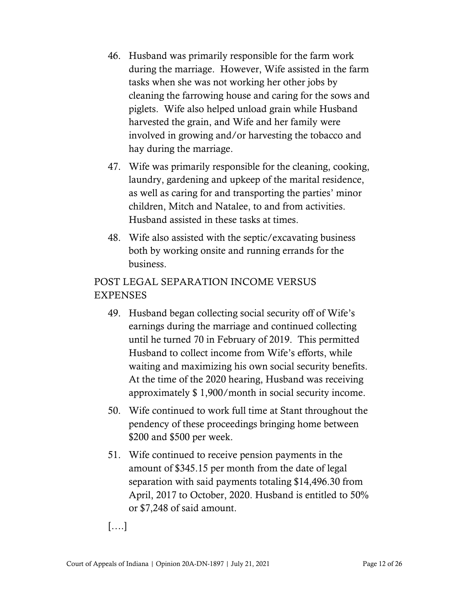- 46. Husband was primarily responsible for the farm work during the marriage. However, Wife assisted in the farm tasks when she was not working her other jobs by cleaning the farrowing house and caring for the sows and piglets. Wife also helped unload grain while Husband harvested the grain, and Wife and her family were involved in growing and/or harvesting the tobacco and hay during the marriage.
- 47. Wife was primarily responsible for the cleaning, cooking, laundry, gardening and upkeep of the marital residence, as well as caring for and transporting the parties' minor children, Mitch and Natalee, to and from activities. Husband assisted in these tasks at times.
- 48. Wife also assisted with the septic/excavating business both by working onsite and running errands for the business.

## POST LEGAL SEPARATION INCOME VERSUS EXPENSES

- 49. Husband began collecting social security off of Wife's earnings during the marriage and continued collecting until he turned 70 in February of 2019. This permitted Husband to collect income from Wife's efforts, while waiting and maximizing his own social security benefits. At the time of the 2020 hearing, Husband was receiving approximately \$ 1,900/month in social security income.
- 50. Wife continued to work full time at Stant throughout the pendency of these proceedings bringing home between \$200 and \$500 per week.
- 51. Wife continued to receive pension payments in the amount of \$345.15 per month from the date of legal separation with said payments totaling \$14,496.30 from April, 2017 to October, 2020. Husband is entitled to 50% or \$7,248 of said amount.

[….]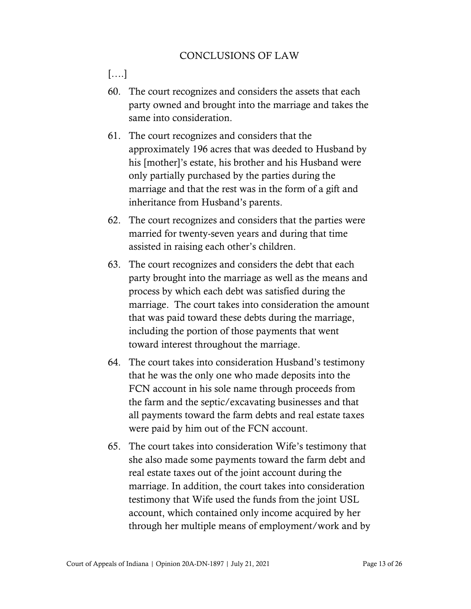## CONCLUSIONS OF LAW

[….]

- 60. The court recognizes and considers the assets that each party owned and brought into the marriage and takes the same into consideration.
- 61. The court recognizes and considers that the approximately 196 acres that was deeded to Husband by his [mother]'s estate, his brother and his Husband were only partially purchased by the parties during the marriage and that the rest was in the form of a gift and inheritance from Husband's parents.
- 62. The court recognizes and considers that the parties were married for twenty-seven years and during that time assisted in raising each other's children.
- 63. The court recognizes and considers the debt that each party brought into the marriage as well as the means and process by which each debt was satisfied during the marriage. The court takes into consideration the amount that was paid toward these debts during the marriage, including the portion of those payments that went toward interest throughout the marriage.
- 64. The court takes into consideration Husband's testimony that he was the only one who made deposits into the FCN account in his sole name through proceeds from the farm and the septic/excavating businesses and that all payments toward the farm debts and real estate taxes were paid by him out of the FCN account.
- 65. The court takes into consideration Wife's testimony that she also made some payments toward the farm debt and real estate taxes out of the joint account during the marriage. In addition, the court takes into consideration testimony that Wife used the funds from the joint USL account, which contained only income acquired by her through her multiple means of employment/work and by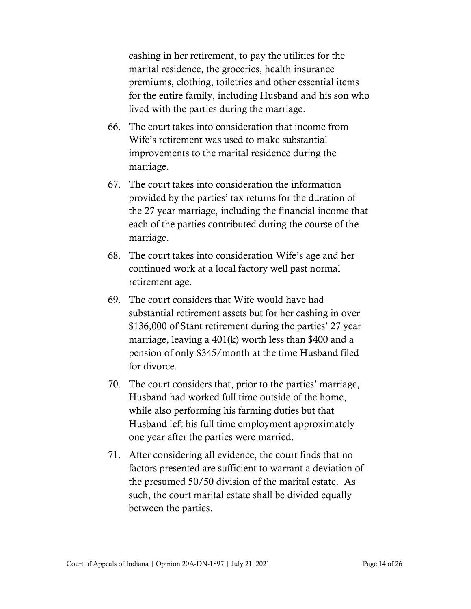cashing in her retirement, to pay the utilities for the marital residence, the groceries, health insurance premiums, clothing, toiletries and other essential items for the entire family, including Husband and his son who lived with the parties during the marriage.

- 66. The court takes into consideration that income from Wife's retirement was used to make substantial improvements to the marital residence during the marriage.
- 67. The court takes into consideration the information provided by the parties' tax returns for the duration of the 27 year marriage, including the financial income that each of the parties contributed during the course of the marriage.
- 68. The court takes into consideration Wife's age and her continued work at a local factory well past normal retirement age.
- 69. The court considers that Wife would have had substantial retirement assets but for her cashing in over \$136,000 of Stant retirement during the parties' 27 year marriage, leaving a 401(k) worth less than \$400 and a pension of only \$345/month at the time Husband filed for divorce.
- 70. The court considers that, prior to the parties' marriage, Husband had worked full time outside of the home, while also performing his farming duties but that Husband left his full time employment approximately one year after the parties were married.
- 71. After considering all evidence, the court finds that no factors presented are sufficient to warrant a deviation of the presumed 50/50 division of the marital estate. As such, the court marital estate shall be divided equally between the parties.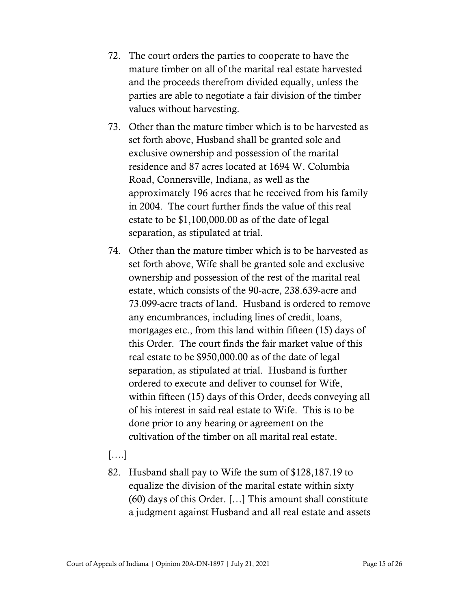- 72. The court orders the parties to cooperate to have the mature timber on all of the marital real estate harvested and the proceeds therefrom divided equally, unless the parties are able to negotiate a fair division of the timber values without harvesting.
- 73. Other than the mature timber which is to be harvested as set forth above, Husband shall be granted sole and exclusive ownership and possession of the marital residence and 87 acres located at 1694 W. Columbia Road, Connersville, Indiana, as well as the approximately 196 acres that he received from his family in 2004. The court further finds the value of this real estate to be \$1,100,000.00 as of the date of legal separation, as stipulated at trial.
- 74. Other than the mature timber which is to be harvested as set forth above, Wife shall be granted sole and exclusive ownership and possession of the rest of the marital real estate, which consists of the 90-acre, 238.639-acre and 73.099-acre tracts of land. Husband is ordered to remove any encumbrances, including lines of credit, loans, mortgages etc., from this land within fifteen (15) days of this Order. The court finds the fair market value of this real estate to be \$950,000.00 as of the date of legal separation, as stipulated at trial. Husband is further ordered to execute and deliver to counsel for Wife, within fifteen (15) days of this Order, deeds conveying all of his interest in said real estate to Wife. This is to be done prior to any hearing or agreement on the cultivation of the timber on all marital real estate.

## [….]

82. Husband shall pay to Wife the sum of \$128,187.19 to equalize the division of the marital estate within sixty (60) days of this Order. […] This amount shall constitute a judgment against Husband and all real estate and assets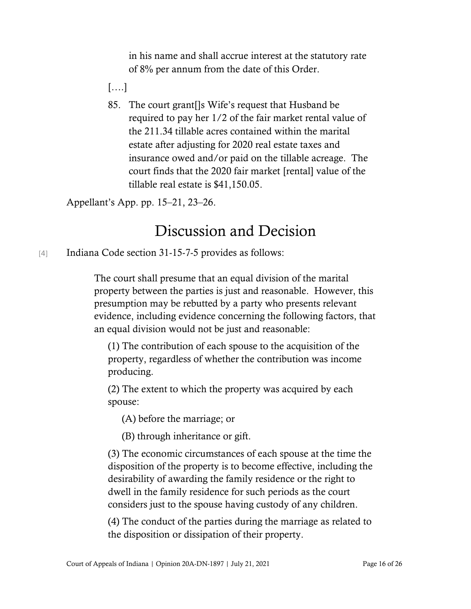in his name and shall accrue interest at the statutory rate of 8% per annum from the date of this Order.

[….]

85. The court grant[]s Wife's request that Husband be required to pay her 1/2 of the fair market rental value of the 211.34 tillable acres contained within the marital estate after adjusting for 2020 real estate taxes and insurance owed and/or paid on the tillable acreage. The court finds that the 2020 fair market [rental] value of the tillable real estate is \$41,150.05.

Appellant's App. pp. 15–21, 23–26.

# Discussion and Decision

[4] Indiana Code section 31-15-7-5 provides as follows:

The court shall presume that an equal division of the marital property between the parties is just and reasonable. However, this presumption may be rebutted by a party who presents relevant evidence, including evidence concerning the following factors, that an equal division would not be just and reasonable:

(1) The contribution of each spouse to the acquisition of the property, regardless of whether the contribution was income producing.

(2) The extent to which the property was acquired by each spouse:

(A) before the marriage; or

(B) through inheritance or gift.

(3) The economic circumstances of each spouse at the time the disposition of the property is to become effective, including the desirability of awarding the family residence or the right to dwell in the family residence for such periods as the court considers just to the spouse having custody of any children.

(4) The conduct of the parties during the marriage as related to the disposition or dissipation of their property.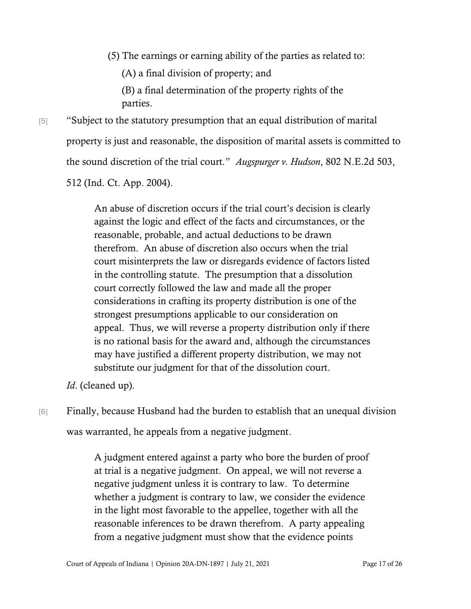(5) The earnings or earning ability of the parties as related to:

(A) a final division of property; and

(B) a final determination of the property rights of the parties.

[5] "Subject to the statutory presumption that an equal distribution of marital property is just and reasonable, the disposition of marital assets is committed to the sound discretion of the trial court." *Augspurger v. Hudson*, 802 N.E.2d 503,

512 (Ind. Ct. App. 2004).

An abuse of discretion occurs if the trial court's decision is clearly against the logic and effect of the facts and circumstances, or the reasonable, probable, and actual deductions to be drawn therefrom. An abuse of discretion also occurs when the trial court misinterprets the law or disregards evidence of factors listed in the controlling statute. The presumption that a dissolution court correctly followed the law and made all the proper considerations in crafting its property distribution is one of the strongest presumptions applicable to our consideration on appeal. Thus, we will reverse a property distribution only if there is no rational basis for the award and, although the circumstances may have justified a different property distribution, we may not substitute our judgment for that of the dissolution court.

*Id*. (cleaned up).

[6] Finally, because Husband had the burden to establish that an unequal division

was warranted, he appeals from a negative judgment.

A judgment entered against a party who bore the burden of proof at trial is a negative judgment. On appeal, we will not reverse a negative judgment unless it is contrary to law. To determine whether a judgment is contrary to law, we consider the evidence in the light most favorable to the appellee, together with all the reasonable inferences to be drawn therefrom. A party appealing from a negative judgment must show that the evidence points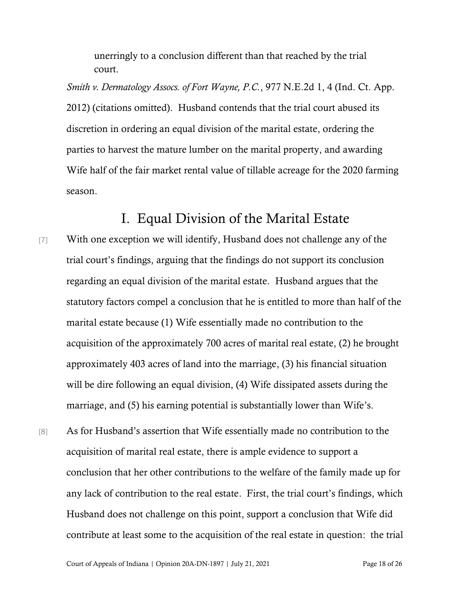unerringly to a conclusion different than that reached by the trial court.

*Smith v. Dermatology Assocs. of Fort Wayne, P.C.*, 977 N.E.2d 1, 4 (Ind. Ct. App. 2012) (citations omitted). Husband contends that the trial court abused its discretion in ordering an equal division of the marital estate, ordering the parties to harvest the mature lumber on the marital property, and awarding Wife half of the fair market rental value of tillable acreage for the 2020 farming season.

## I. Equal Division of the Marital Estate

- [7] With one exception we will identify, Husband does not challenge any of the trial court's findings, arguing that the findings do not support its conclusion regarding an equal division of the marital estate. Husband argues that the statutory factors compel a conclusion that he is entitled to more than half of the marital estate because (1) Wife essentially made no contribution to the acquisition of the approximately 700 acres of marital real estate, (2) he brought approximately 403 acres of land into the marriage, (3) his financial situation will be dire following an equal division, (4) Wife dissipated assets during the marriage, and (5) his earning potential is substantially lower than Wife's.
- [8] As for Husband's assertion that Wife essentially made no contribution to the acquisition of marital real estate, there is ample evidence to support a conclusion that her other contributions to the welfare of the family made up for any lack of contribution to the real estate. First, the trial court's findings, which Husband does not challenge on this point, support a conclusion that Wife did contribute at least some to the acquisition of the real estate in question: the trial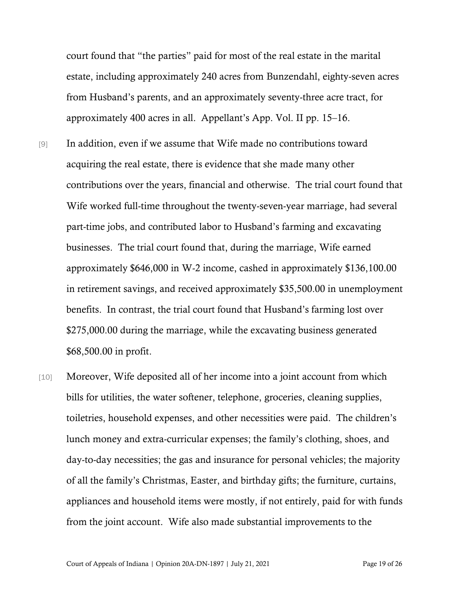court found that "the parties" paid for most of the real estate in the marital estate, including approximately 240 acres from Bunzendahl, eighty-seven acres from Husband's parents, and an approximately seventy-three acre tract, for approximately 400 acres in all. Appellant's App. Vol. II pp. 15–16.

- [9] In addition, even if we assume that Wife made no contributions toward acquiring the real estate, there is evidence that she made many other contributions over the years, financial and otherwise. The trial court found that Wife worked full-time throughout the twenty-seven-year marriage, had several part-time jobs, and contributed labor to Husband's farming and excavating businesses. The trial court found that, during the marriage, Wife earned approximately \$646,000 in W-2 income, cashed in approximately \$136,100.00 in retirement savings, and received approximately \$35,500.00 in unemployment benefits. In contrast, the trial court found that Husband's farming lost over \$275,000.00 during the marriage, while the excavating business generated \$68,500.00 in profit.
- [10] Moreover, Wife deposited all of her income into a joint account from which bills for utilities, the water softener, telephone, groceries, cleaning supplies, toiletries, household expenses, and other necessities were paid. The children's lunch money and extra-curricular expenses; the family's clothing, shoes, and day-to-day necessities; the gas and insurance for personal vehicles; the majority of all the family's Christmas, Easter, and birthday gifts; the furniture, curtains, appliances and household items were mostly, if not entirely, paid for with funds from the joint account. Wife also made substantial improvements to the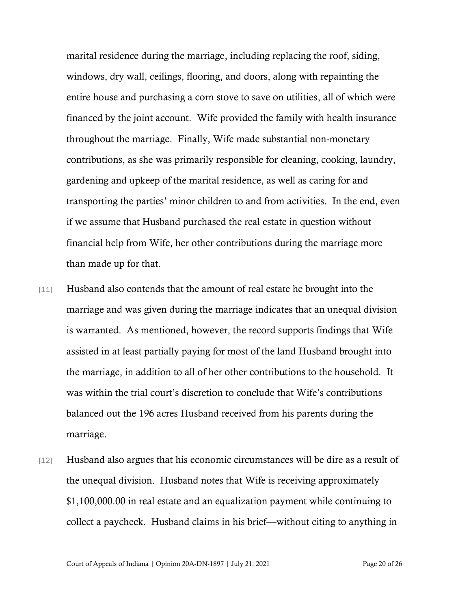marital residence during the marriage, including replacing the roof, siding, windows, dry wall, ceilings, flooring, and doors, along with repainting the entire house and purchasing a corn stove to save on utilities, all of which were financed by the joint account. Wife provided the family with health insurance throughout the marriage. Finally, Wife made substantial non-monetary contributions, as she was primarily responsible for cleaning, cooking, laundry, gardening and upkeep of the marital residence, as well as caring for and transporting the parties' minor children to and from activities. In the end, even if we assume that Husband purchased the real estate in question without financial help from Wife, her other contributions during the marriage more than made up for that.

- [11] Husband also contends that the amount of real estate he brought into the marriage and was given during the marriage indicates that an unequal division is warranted. As mentioned, however, the record supports findings that Wife assisted in at least partially paying for most of the land Husband brought into the marriage, in addition to all of her other contributions to the household. It was within the trial court's discretion to conclude that Wife's contributions balanced out the 196 acres Husband received from his parents during the marriage.
- [12] Husband also argues that his economic circumstances will be dire as a result of the unequal division. Husband notes that Wife is receiving approximately \$1,100,000.00 in real estate and an equalization payment while continuing to collect a paycheck. Husband claims in his brief—without citing to anything in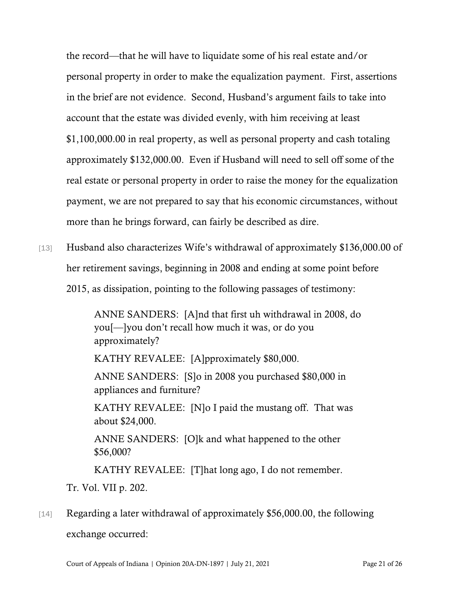the record—that he will have to liquidate some of his real estate and/or personal property in order to make the equalization payment. First, assertions in the brief are not evidence. Second, Husband's argument fails to take into account that the estate was divided evenly, with him receiving at least \$1,100,000.00 in real property, as well as personal property and cash totaling approximately \$132,000.00. Even if Husband will need to sell off some of the real estate or personal property in order to raise the money for the equalization payment, we are not prepared to say that his economic circumstances, without more than he brings forward, can fairly be described as dire.

[13] Husband also characterizes Wife's withdrawal of approximately \$136,000.00 of her retirement savings, beginning in 2008 and ending at some point before 2015, as dissipation, pointing to the following passages of testimony:

> ANNE SANDERS: [A]nd that first uh withdrawal in 2008, do you[—]you don't recall how much it was, or do you approximately?

KATHY REVALEE: [A]pproximately \$80,000.

ANNE SANDERS: [S]o in 2008 you purchased \$80,000 in appliances and furniture?

KATHY REVALEE: [N]o I paid the mustang off. That was about \$24,000.

ANNE SANDERS: [O]k and what happened to the other \$56,000?

KATHY REVALEE: [T]hat long ago, I do not remember.

Tr. Vol. VII p. 202.

# [14] Regarding a later withdrawal of approximately \$56,000.00, the following exchange occurred: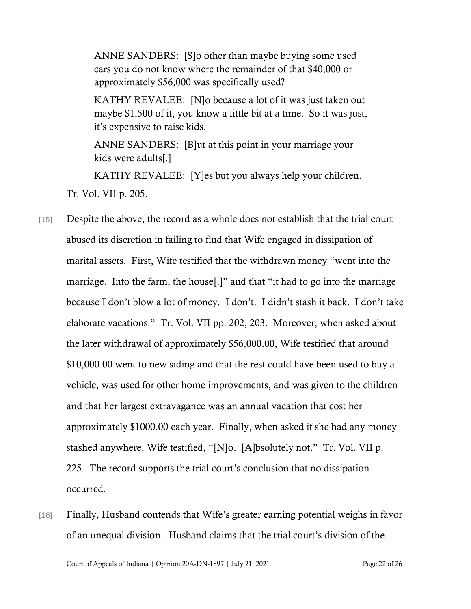ANNE SANDERS: [S]o other than maybe buying some used cars you do not know where the remainder of that \$40,000 or approximately \$56,000 was specifically used?

KATHY REVALEE: [N]o because a lot of it was just taken out maybe \$1,500 of it, you know a little bit at a time. So it was just, it's expensive to raise kids.

ANNE SANDERS: [B]ut at this point in your marriage your kids were adults[.]

KATHY REVALEE: [Y]es but you always help your children.

Tr. Vol. VII p. 205.

- [15] Despite the above, the record as a whole does not establish that the trial court abused its discretion in failing to find that Wife engaged in dissipation of marital assets. First, Wife testified that the withdrawn money "went into the marriage. Into the farm, the house[.]" and that "it had to go into the marriage because I don't blow a lot of money. I don't. I didn't stash it back. I don't take elaborate vacations." Tr. Vol. VII pp. 202, 203. Moreover, when asked about the later withdrawal of approximately \$56,000.00, Wife testified that around \$10,000.00 went to new siding and that the rest could have been used to buy a vehicle, was used for other home improvements, and was given to the children and that her largest extravagance was an annual vacation that cost her approximately \$1000.00 each year. Finally, when asked if she had any money stashed anywhere, Wife testified, "[N]o. [A]bsolutely not." Tr. Vol. VII p. 225. The record supports the trial court's conclusion that no dissipation occurred.
- [16] Finally, Husband contends that Wife's greater earning potential weighs in favor of an unequal division. Husband claims that the trial court's division of the

Court of Appeals of Indiana | Opinion 20A-DN-1897 | July 21, 2021 Page 22 of 26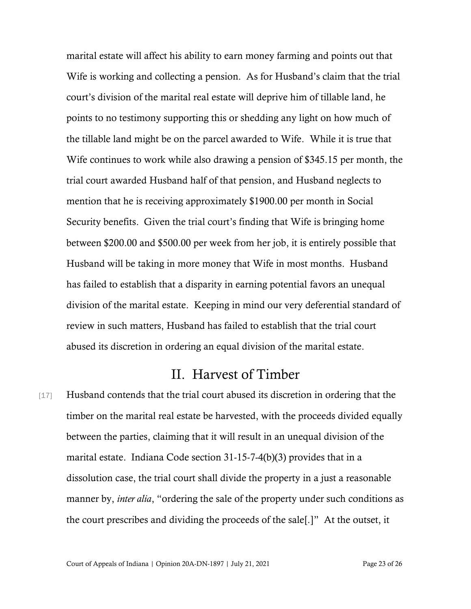marital estate will affect his ability to earn money farming and points out that Wife is working and collecting a pension. As for Husband's claim that the trial court's division of the marital real estate will deprive him of tillable land, he points to no testimony supporting this or shedding any light on how much of the tillable land might be on the parcel awarded to Wife. While it is true that Wife continues to work while also drawing a pension of \$345.15 per month, the trial court awarded Husband half of that pension, and Husband neglects to mention that he is receiving approximately \$1900.00 per month in Social Security benefits. Given the trial court's finding that Wife is bringing home between \$200.00 and \$500.00 per week from her job, it is entirely possible that Husband will be taking in more money that Wife in most months. Husband has failed to establish that a disparity in earning potential favors an unequal division of the marital estate. Keeping in mind our very deferential standard of review in such matters, Husband has failed to establish that the trial court abused its discretion in ordering an equal division of the marital estate.

## II. Harvest of Timber

[17] Husband contends that the trial court abused its discretion in ordering that the timber on the marital real estate be harvested, with the proceeds divided equally between the parties, claiming that it will result in an unequal division of the marital estate. Indiana Code section 31-15-7-4(b)(3) provides that in a dissolution case, the trial court shall divide the property in a just a reasonable manner by, *inter alia*, "ordering the sale of the property under such conditions as the court prescribes and dividing the proceeds of the sale[.]" At the outset, it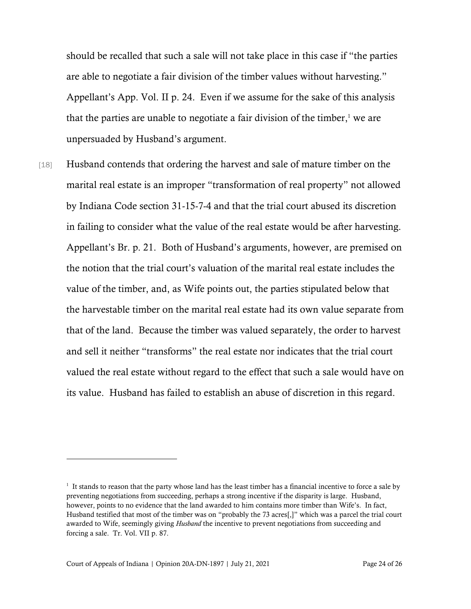should be recalled that such a sale will not take place in this case if "the parties are able to negotiate a fair division of the timber values without harvesting." Appellant's App. Vol. II p. 24. Even if we assume for the sake of this analysis that the parties are unable to negotiate a fair division of the timber, <sup>1</sup> we are unpersuaded by Husband's argument.

[18] Husband contends that ordering the harvest and sale of mature timber on the marital real estate is an improper "transformation of real property" not allowed by Indiana Code section 31-15-7-4 and that the trial court abused its discretion in failing to consider what the value of the real estate would be after harvesting. Appellant's Br. p. 21. Both of Husband's arguments, however, are premised on the notion that the trial court's valuation of the marital real estate includes the value of the timber, and, as Wife points out, the parties stipulated below that the harvestable timber on the marital real estate had its own value separate from that of the land. Because the timber was valued separately, the order to harvest and sell it neither "transforms" the real estate nor indicates that the trial court valued the real estate without regard to the effect that such a sale would have on its value. Husband has failed to establish an abuse of discretion in this regard.

<sup>&</sup>lt;sup>1</sup> It stands to reason that the party whose land has the least timber has a financial incentive to force a sale by preventing negotiations from succeeding, perhaps a strong incentive if the disparity is large. Husband, however, points to no evidence that the land awarded to him contains more timber than Wife's. In fact, Husband testified that most of the timber was on "probably the 73 acres[,]" which was a parcel the trial court awarded to Wife, seemingly giving *Husband* the incentive to prevent negotiations from succeeding and forcing a sale. Tr. Vol. VII p. 87.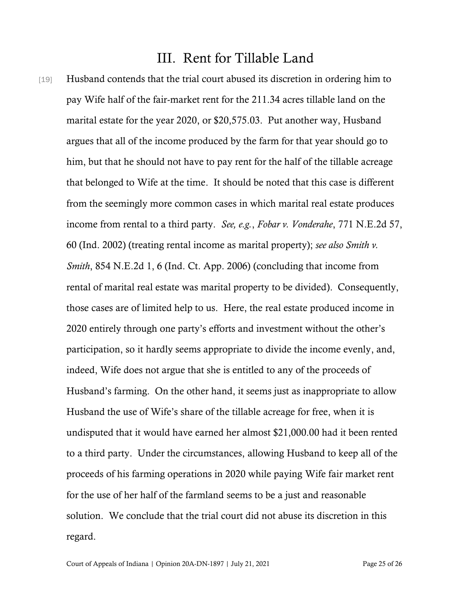## III. Rent for Tillable Land

[19] Husband contends that the trial court abused its discretion in ordering him to pay Wife half of the fair-market rent for the 211.34 acres tillable land on the marital estate for the year 2020, or \$20,575.03. Put another way, Husband argues that all of the income produced by the farm for that year should go to him, but that he should not have to pay rent for the half of the tillable acreage that belonged to Wife at the time. It should be noted that this case is different from the seemingly more common cases in which marital real estate produces income from rental to a third party. *See, e.g.*, *Fobar v. Vonderahe*, 771 N.E.2d 57, 60 (Ind. 2002) (treating rental income as marital property); *see also Smith v. Smith*, 854 N.E.2d 1, 6 (Ind. Ct. App. 2006) (concluding that income from rental of marital real estate was marital property to be divided). Consequently, those cases are of limited help to us. Here, the real estate produced income in 2020 entirely through one party's efforts and investment without the other's participation, so it hardly seems appropriate to divide the income evenly, and, indeed, Wife does not argue that she is entitled to any of the proceeds of Husband's farming. On the other hand, it seems just as inappropriate to allow Husband the use of Wife's share of the tillable acreage for free, when it is undisputed that it would have earned her almost \$21,000.00 had it been rented to a third party. Under the circumstances, allowing Husband to keep all of the proceeds of his farming operations in 2020 while paying Wife fair market rent for the use of her half of the farmland seems to be a just and reasonable solution. We conclude that the trial court did not abuse its discretion in this regard.